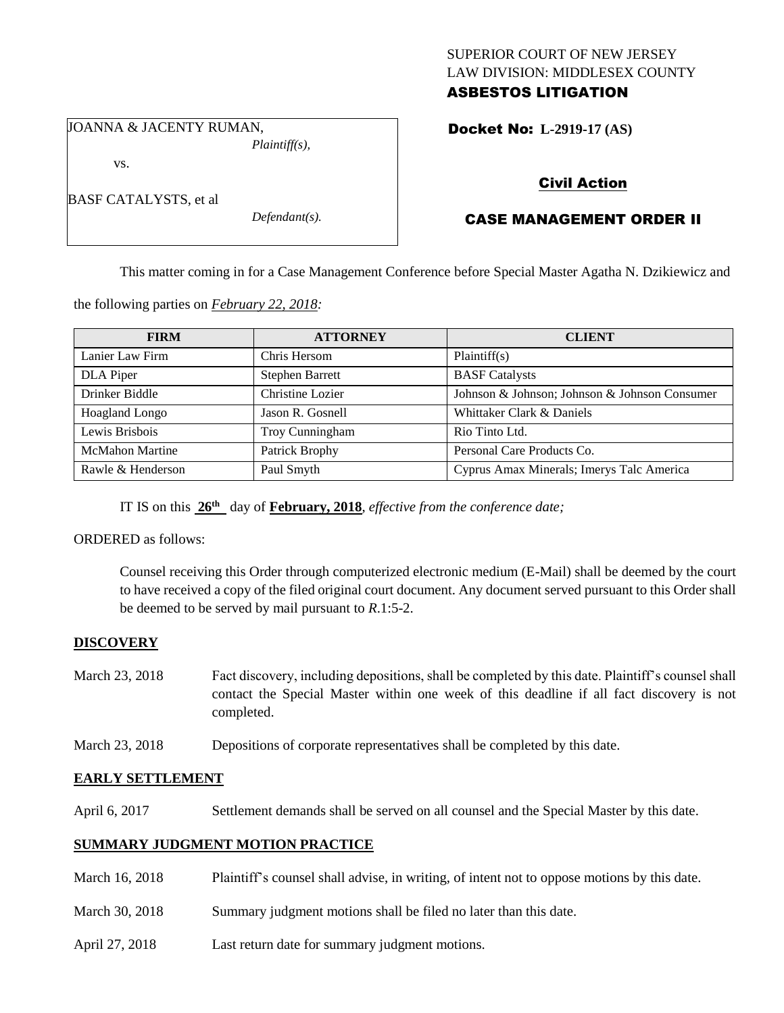### SUPERIOR COURT OF NEW JERSEY LAW DIVISION: MIDDLESEX COUNTY ASBESTOS LITIGATION

JOANNA & JACENTY RUMAN, *Plaintiff(s),*

vs.

BASF CATALYSTS, et al

*Defendant(s).*

Docket No: **L-2919-17 (AS)** 

# Civil Action

# CASE MANAGEMENT ORDER II

This matter coming in for a Case Management Conference before Special Master Agatha N. Dzikiewicz and

the following parties on *February 22, 2018:*

| <b>FIRM</b>            | <b>ATTORNEY</b>        | <b>CLIENT</b>                                 |
|------------------------|------------------------|-----------------------------------------------|
| Lanier Law Firm        | Chris Hersom           | Plaintiff(s)                                  |
| DLA Piper              | <b>Stephen Barrett</b> | <b>BASF</b> Catalysts                         |
| Drinker Biddle         | Christine Lozier       | Johnson & Johnson; Johnson & Johnson Consumer |
| Hoagland Longo         | Jason R. Gosnell       | Whittaker Clark & Daniels                     |
| Lewis Brisbois         | Troy Cunningham        | Rio Tinto Ltd.                                |
| <b>McMahon Martine</b> | Patrick Brophy         | Personal Care Products Co.                    |
| Rawle & Henderson      | Paul Smyth             | Cyprus Amax Minerals; Imerys Talc America     |

IT IS on this **26th** day of **February, 2018**, *effective from the conference date;*

ORDERED as follows:

Counsel receiving this Order through computerized electronic medium (E-Mail) shall be deemed by the court to have received a copy of the filed original court document. Any document served pursuant to this Order shall be deemed to be served by mail pursuant to *R*.1:5-2.

# **DISCOVERY**

- March 23, 2018 Fact discovery, including depositions, shall be completed by this date. Plaintiff's counsel shall contact the Special Master within one week of this deadline if all fact discovery is not completed.
- March 23, 2018 Depositions of corporate representatives shall be completed by this date.

# **EARLY SETTLEMENT**

April 6, 2017 Settlement demands shall be served on all counsel and the Special Master by this date.

# **SUMMARY JUDGMENT MOTION PRACTICE**

- March 16, 2018 Plaintiff's counsel shall advise, in writing, of intent not to oppose motions by this date.
- March 30, 2018 Summary judgment motions shall be filed no later than this date.
- April 27, 2018 Last return date for summary judgment motions.